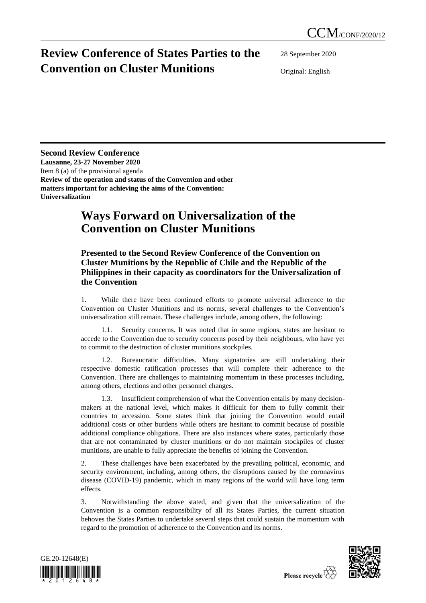## **Review Conference of States Parties to the Convention on Cluster Munitions**

28 September 2020

Original: English

## **Second Review Conference**

**Lausanne, 23-27 November 2020** Item 8 (a) of the provisional agenda **Review of the operation and status of the Convention and other matters important for achieving the aims of the Convention: Universalization**

## **Ways Forward on Universalization of the Convention on Cluster Munitions**

## **Presented to the Second Review Conference of the Convention on Cluster Munitions by the Republic of Chile and the Republic of the Philippines in their capacity as coordinators for the Universalization of the Convention**

1. While there have been continued efforts to promote universal adherence to the Convention on Cluster Munitions and its norms, several challenges to the Convention's universalization still remain. These challenges include, among others, the following:

1.1. Security concerns. It was noted that in some regions, states are hesitant to accede to the Convention due to security concerns posed by their neighbours, who have yet to commit to the destruction of cluster munitions stockpiles.

1.2. Bureaucratic difficulties. Many signatories are still undertaking their respective domestic ratification processes that will complete their adherence to the Convention. There are challenges to maintaining momentum in these processes including, among others, elections and other personnel changes.

1.3. Insufficient comprehension of what the Convention entails by many decisionmakers at the national level, which makes it difficult for them to fully commit their countries to accession. Some states think that joining the Convention would entail additional costs or other burdens while others are hesitant to commit because of possible additional compliance obligations. There are also instances where states, particularly those that are not contaminated by cluster munitions or do not maintain stockpiles of cluster munitions, are unable to fully appreciate the benefits of joining the Convention.

2. These challenges have been exacerbated by the prevailing political, economic, and security environment, including, among others, the disruptions caused by the coronavirus disease (COVID-19) pandemic, which in many regions of the world will have long term effects.

3. Notwithstanding the above stated, and given that the universalization of the Convention is a common responsibility of all its States Parties, the current situation behoves the States Parties to undertake several steps that could sustain the momentum with regard to the promotion of adherence to the Convention and its norms.